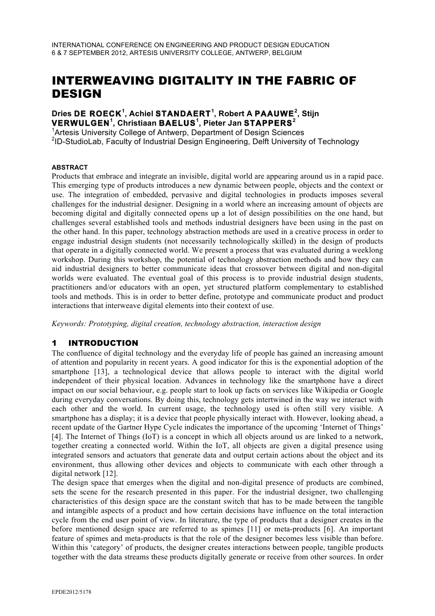# INTERWEAVING DIGITALITY IN THE FABRIC OF DESIGN

### **Dries DE ROECK<sup>1</sup> , Achiel STANDAERT<sup>1</sup> , Robert A PAAUWE<sup>2</sup> , Stijn VERWULGEN<sup>1</sup> , Christiaan BAELUS<sup>1</sup> , Pieter Jan STAPPERS<sup>2</sup>**

<sup>1</sup>Artesis University College of Antwerp, Department of Design Sciences <sup>2</sup>ID-StudioLab, Faculty of Industrial Design Engineering, Delft University of Technology

#### **ABSTRACT**

Products that embrace and integrate an invisible, digital world are appearing around us in a rapid pace. This emerging type of products introduces a new dynamic between people, objects and the context or use. The integration of embedded, pervasive and digital technologies in products imposes several challenges for the industrial designer. Designing in a world where an increasing amount of objects are becoming digital and digitally connected opens up a lot of design possibilities on the one hand, but challenges several established tools and methods industrial designers have been using in the past on the other hand. In this paper, technology abstraction methods are used in a creative process in order to engage industrial design students (not necessarily technologically skilled) in the design of products that operate in a digitally connected world. We present a process that was evaluated during a weeklong workshop. During this workshop, the potential of technology abstraction methods and how they can aid industrial designers to better communicate ideas that crossover between digital and non-digital worlds were evaluated. The eventual goal of this process is to provide industrial design students, practitioners and/or educators with an open, yet structured platform complementary to established tools and methods. This is in order to better define, prototype and communicate product and product interactions that interweave digital elements into their context of use.

*Keywords: Prototyping, digital creation, technology abstraction, interaction design*

# 1 INTRODUCTION

The confluence of digital technology and the everyday life of people has gained an increasing amount of attention and popularity in recent years. A good indicator for this is the exponential adoption of the smartphone [13], a technological device that allows people to interact with the digital world independent of their physical location. Advances in technology like the smartphone have a direct impact on our social behaviour, e.g. people start to look up facts on services like Wikipedia or Google during everyday conversations. By doing this, technology gets intertwined in the way we interact with each other and the world. In current usage, the technology used is often still very visible. A smartphone has a display; it is a device that people physically interact with. However, looking ahead, a recent update of the Gartner Hype Cycle indicates the importance of the upcoming 'Internet of Things' [4]. The Internet of Things (IoT) is a concept in which all objects around us are linked to a network, together creating a connected world. Within the IoT, all objects are given a digital presence using integrated sensors and actuators that generate data and output certain actions about the object and its environment, thus allowing other devices and objects to communicate with each other through a digital network [12].

The design space that emerges when the digital and non-digital presence of products are combined, sets the scene for the research presented in this paper. For the industrial designer, two challenging characteristics of this design space are the constant switch that has to be made between the tangible and intangible aspects of a product and how certain decisions have influence on the total interaction cycle from the end user point of view. In literature, the type of products that a designer creates in the before mentioned design space are referred to as spimes [11] or meta-products [6]. An important feature of spimes and meta-products is that the role of the designer becomes less visible than before. Within this 'category' of products, the designer creates interactions between people, tangible products together with the data streams these products digitally generate or receive from other sources. In order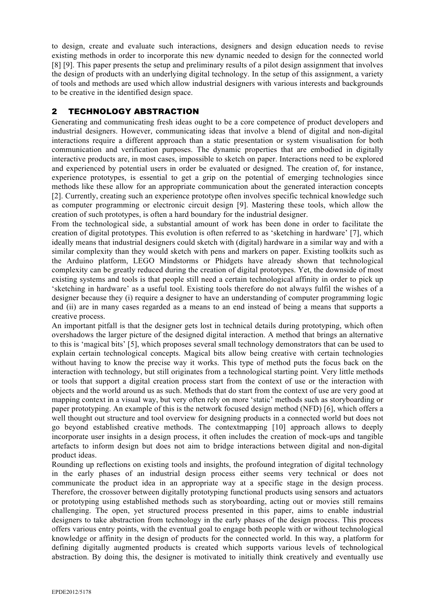to design, create and evaluate such interactions, designers and design education needs to revise existing methods in order to incorporate this new dynamic needed to design for the connected world [8] [9]. This paper presents the setup and preliminary results of a pilot design assignment that involves the design of products with an underlying digital technology. In the setup of this assignment, a variety of tools and methods are used which allow industrial designers with various interests and backgrounds to be creative in the identified design space.

# 2 TECHNOLOGY ABSTRACTION

Generating and communicating fresh ideas ought to be a core competence of product developers and industrial designers. However, communicating ideas that involve a blend of digital and non-digital interactions require a different approach than a static presentation or system visualisation for both communication and verification purposes. The dynamic properties that are embodied in digitally interactive products are, in most cases, impossible to sketch on paper. Interactions need to be explored and experienced by potential users in order be evaluated or designed. The creation of, for instance, experience prototypes, is essential to get a grip on the potential of emerging technologies since methods like these allow for an appropriate communication about the generated interaction concepts [2]. Currently, creating such an experience prototype often involves specific technical knowledge such as computer programming or electronic circuit design [9]. Mastering these tools, which allow the creation of such prototypes, is often a hard boundary for the industrial designer.

From the technological side, a substantial amount of work has been done in order to facilitate the creation of digital prototypes. This evolution is often referred to as 'sketching in hardware' [7], which ideally means that industrial designers could sketch with (digital) hardware in a similar way and with a similar complexity than they would sketch with pens and markers on paper. Existing toolkits such as the Arduino platform, LEGO Mindstorms or Phidgets have already shown that technological complexity can be greatly reduced during the creation of digital prototypes. Yet, the downside of most existing systems and tools is that people still need a certain technological affinity in order to pick up 'sketching in hardware' as a useful tool. Existing tools therefore do not always fulfil the wishes of a designer because they (i) require a designer to have an understanding of computer programming logic and (ii) are in many cases regarded as a means to an end instead of being a means that supports a creative process.

An important pitfall is that the designer gets lost in technical details during prototyping, which often overshadows the larger picture of the designed digital interaction. A method that brings an alternative to this is 'magical bits' [5], which proposes several small technology demonstrators that can be used to explain certain technological concepts. Magical bits allow being creative with certain technologies without having to know the precise way it works. This type of method puts the focus back on the interaction with technology, but still originates from a technological starting point. Very little methods or tools that support a digital creation process start from the context of use or the interaction with objects and the world around us as such. Methods that do start from the context of use are very good at mapping context in a visual way, but very often rely on more 'static' methods such as storyboarding or paper prototyping. An example of this is the network focused design method (NFD) [6], which offers a well thought out structure and tool overview for designing products in a connected world but does not go beyond established creative methods. The contextmapping [10] approach allows to deeply incorporate user insights in a design process, it often includes the creation of mock-ups and tangible artefacts to inform design but does not aim to bridge interactions between digital and non-digital product ideas.

Rounding up reflections on existing tools and insights, the profound integration of digital technology in the early phases of an industrial design process either seems very technical or does not communicate the product idea in an appropriate way at a specific stage in the design process. Therefore, the crossover between digitally prototyping functional products using sensors and actuators or prototyping using established methods such as storyboarding, acting out or movies still remains challenging. The open, yet structured process presented in this paper, aims to enable industrial designers to take abstraction from technology in the early phases of the design process. This process offers various entry points, with the eventual goal to engage both people with or without technological knowledge or affinity in the design of products for the connected world. In this way, a platform for defining digitally augmented products is created which supports various levels of technological abstraction. By doing this, the designer is motivated to initially think creatively and eventually use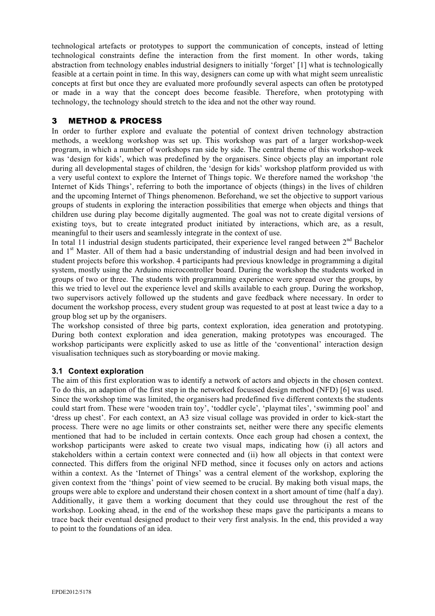technological artefacts or prototypes to support the communication of concepts, instead of letting technological constraints define the interaction from the first moment. In other words, taking abstraction from technology enables industrial designers to initially 'forget' [1] what is technologically feasible at a certain point in time. In this way, designers can come up with what might seem unrealistic concepts at first but once they are evaluated more profoundly several aspects can often be prototyped or made in a way that the concept does become feasible. Therefore, when prototyping with technology, the technology should stretch to the idea and not the other way round.

# 3 METHOD & PROCESS

In order to further explore and evaluate the potential of context driven technology abstraction methods, a weeklong workshop was set up. This workshop was part of a larger workshop-week program, in which a number of workshops ran side by side. The central theme of this workshop-week was 'design for kids', which was predefined by the organisers. Since objects play an important role during all developmental stages of children, the 'design for kids' workshop platform provided us with a very useful context to explore the Internet of Things topic. We therefore named the workshop 'the Internet of Kids Things', referring to both the importance of objects (things) in the lives of children and the upcoming Internet of Things phenomenon. Beforehand, we set the objective to support various groups of students in exploring the interaction possibilities that emerge when objects and things that children use during play become digitally augmented. The goal was not to create digital versions of existing toys, but to create integrated product initiated by interactions, which are, as a result, meaningful to their users and seamlessly integrate in the context of use.

In total 11 industrial design students participated, their experience level ranged between  $2<sup>nd</sup>$  Bachelor and 1<sup>st</sup> Master. All of them had a basic understanding of industrial design and had been involved in student projects before this workshop. 4 participants had previous knowledge in programming a digital system, mostly using the Arduino microcontroller board. During the workshop the students worked in groups of two or three. The students with programming experience were spread over the groups, by this we tried to level out the experience level and skills available to each group. During the workshop, two supervisors actively followed up the students and gave feedback where necessary. In order to document the workshop process, every student group was requested to at post at least twice a day to a group blog set up by the organisers.

The workshop consisted of three big parts, context exploration, idea generation and prototyping. During both context exploration and idea generation, making prototypes was encouraged. The workshop participants were explicitly asked to use as little of the 'conventional' interaction design visualisation techniques such as storyboarding or movie making.

#### **3.1 Context exploration**

The aim of this first exploration was to identify a network of actors and objects in the chosen context. To do this, an adaption of the first step in the networked focussed design method (NFD) [6] was used. Since the workshop time was limited, the organisers had predefined five different contexts the students could start from. These were 'wooden train toy', 'toddler cycle', 'playmat tiles', 'swimming pool' and 'dress up chest'. For each context, an A3 size visual collage was provided in order to kick-start the process. There were no age limits or other constraints set, neither were there any specific elements mentioned that had to be included in certain contexts. Once each group had chosen a context, the workshop participants were asked to create two visual maps, indicating how (i) all actors and stakeholders within a certain context were connected and (ii) how all objects in that context were connected. This differs from the original NFD method, since it focuses only on actors and actions within a context. As the 'Internet of Things' was a central element of the workshop, exploring the given context from the 'things' point of view seemed to be crucial. By making both visual maps, the groups were able to explore and understand their chosen context in a short amount of time (half a day). Additionally, it gave them a working document that they could use throughout the rest of the workshop. Looking ahead, in the end of the workshop these maps gave the participants a means to trace back their eventual designed product to their very first analysis. In the end, this provided a way to point to the foundations of an idea.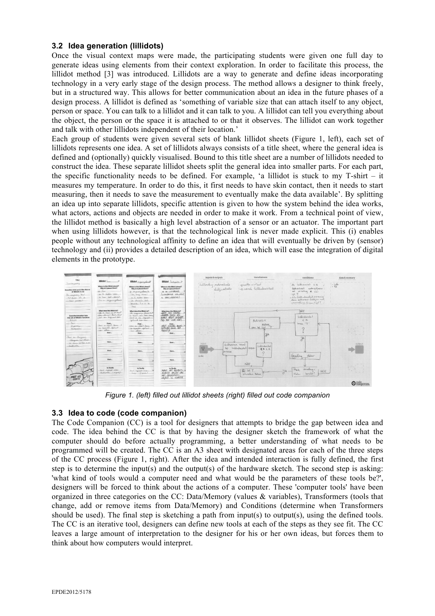#### **3.2 Idea generation (lillidots)**

Once the visual context maps were made, the participating students were given one full day to generate ideas using elements from their context exploration. In order to facilitate this process, the lillidot method [3] was introduced. Lillidots are a way to generate and define ideas incorporating technology in a very early stage of the design process. The method allows a designer to think freely, but in a structured way. This allows for better communication about an idea in the future phases of a design process. A lillidot is defined as 'something of variable size that can attach itself to any object, person or space. You can talk to a lillidot and it can talk to you. A lillidot can tell you everything about the object, the person or the space it is attached to or that it observes. The lillidot can work together and talk with other lillidots independent of their location.'

Each group of students were given several sets of blank lillidot sheets (Figure 1, left), each set of lillidots represents one idea. A set of lillidots always consists of a title sheet, where the general idea is defined and (optionally) quickly visualised. Bound to this title sheet are a number of lillidots needed to construct the idea. These separate lillidot sheets split the general idea into smaller parts. For each part, the specific functionality needs to be defined. For example, 'a lillidot is stuck to my T-shirt – it measures my temperature. In order to do this, it first needs to have skin contact, then it needs to start measuring, then it needs to save the measurement to eventually make the data available'. By splitting an idea up into separate lillidots, specific attention is given to how the system behind the idea works, what actors, actions and objects are needed in order to make it work. From a technical point of view, the lillidot method is basically a high level abstraction of a sensor or an actuator. The important part when using lillidots however, is that the technological link is never made explicit. This (i) enables people without any technological affinity to define an idea that will eventually be driven by (sensor) technology and (ii) provides a detailed description of an idea, which will ease the integration of digital elements in the prototype.



*Figure 1. (left) filled out lillidot sheets (right) filled out code companion*

#### **3.3 Idea to code (code companion)**

The Code Companion (CC) is a tool for designers that attempts to bridge the gap between idea and code. The idea behind the CC is that by having the designer sketch the framework of what the computer should do before actually programming, a better understanding of what needs to be programmed will be created. The CC is an A3 sheet with designated areas for each of the three steps of the CC process (Figure 1, right). After the idea and intended interaction is fully defined, the first step is to determine the input(s) and the output(s) of the hardware sketch. The second step is asking: 'what kind of tools would a computer need and what would be the parameters of these tools be?', designers will be forced to think about the actions of a computer. These 'computer tools' have been organized in three categories on the CC: Data/Memory (values & variables), Transformers (tools that change, add or remove items from Data/Memory) and Conditions (determine when Transformers should be used). The final step is sketching a path from input(s) to output(s), using the defined tools. The CC is an iterative tool, designers can define new tools at each of the steps as they see fit. The CC leaves a large amount of interpretation to the designer for his or her own ideas, but forces them to think about how computers would interpret.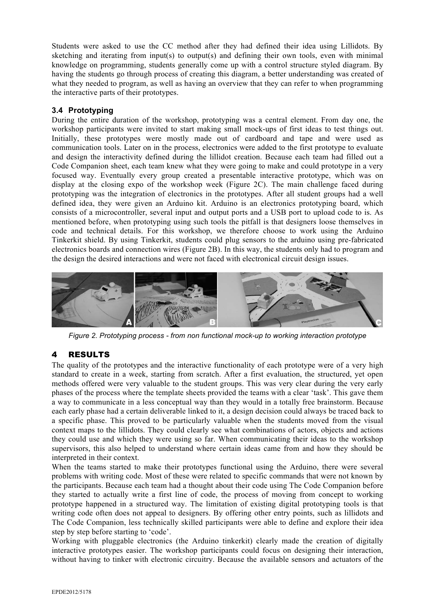Students were asked to use the CC method after they had defined their idea using Lillidots. By sketching and iterating from input(s) to output(s) and defining their own tools, even with minimal knowledge on programming, students generally come up with a control structure styled diagram. By having the students go through process of creating this diagram, a better understanding was created of what they needed to program, as well as having an overview that they can refer to when programming the interactive parts of their prototypes.

#### **3.4 Prototyping**

During the entire duration of the workshop, prototyping was a central element. From day one, the workshop participants were invited to start making small mock-ups of first ideas to test things out. Initially, these prototypes were mostly made out of cardboard and tape and were used as communication tools. Later on in the process, electronics were added to the first prototype to evaluate and design the interactivity defined during the lillidot creation. Because each team had filled out a Code Companion sheet, each team knew what they were going to make and could prototype in a very focused way. Eventually every group created a presentable interactive prototype, which was on display at the closing expo of the workshop week (Figure 2C). The main challenge faced during prototyping was the integration of electronics in the prototypes. After all student groups had a well defined idea, they were given an Arduino kit. Arduino is an electronics prototyping board, which consists of a microcontroller, several input and output ports and a USB port to upload code to is. As mentioned before, when prototyping using such tools the pitfall is that designers loose themselves in code and technical details. For this workshop, we therefore choose to work using the Arduino Tinkerkit shield. By using Tinkerkit, students could plug sensors to the arduino using pre-fabricated electronics boards and connection wires (Figure 2B). In this way, the students only had to program and the design the desired interactions and were not faced with electronical circuit design issues.



*Figure 2. Prototyping process - from non functional mock-up to working interaction prototype*

# 4 RESULTS

The quality of the prototypes and the interactive functionality of each prototype were of a very high standard to create in a week, starting from scratch. After a first evaluation, the structured, yet open methods offered were very valuable to the student groups. This was very clear during the very early phases of the process where the template sheets provided the teams with a clear 'task'. This gave them a way to communicate in a less conceptual way than they would in a totally free brainstorm. Because each early phase had a certain deliverable linked to it, a design decision could always be traced back to a specific phase. This proved to be particularly valuable when the students moved from the visual context maps to the lillidots. They could clearly see what combinations of actors, objects and actions they could use and which they were using so far. When communicating their ideas to the workshop supervisors, this also helped to understand where certain ideas came from and how they should be interpreted in their context.

When the teams started to make their prototypes functional using the Arduino, there were several problems with writing code. Most of these were related to specific commands that were not known by the participants. Because each team had a thought about their code using The Code Companion before they started to actually write a first line of code, the process of moving from concept to working prototype happened in a structured way. The limitation of existing digital prototyping tools is that writing code often does not appeal to designers. By offering other entry points, such as lillidots and The Code Companion, less technically skilled participants were able to define and explore their idea step by step before starting to 'code'.

Working with pluggable electronics (the Arduino tinkerkit) clearly made the creation of digitally interactive prototypes easier. The workshop participants could focus on designing their interaction, without having to tinker with electronic circuitry. Because the available sensors and actuators of the